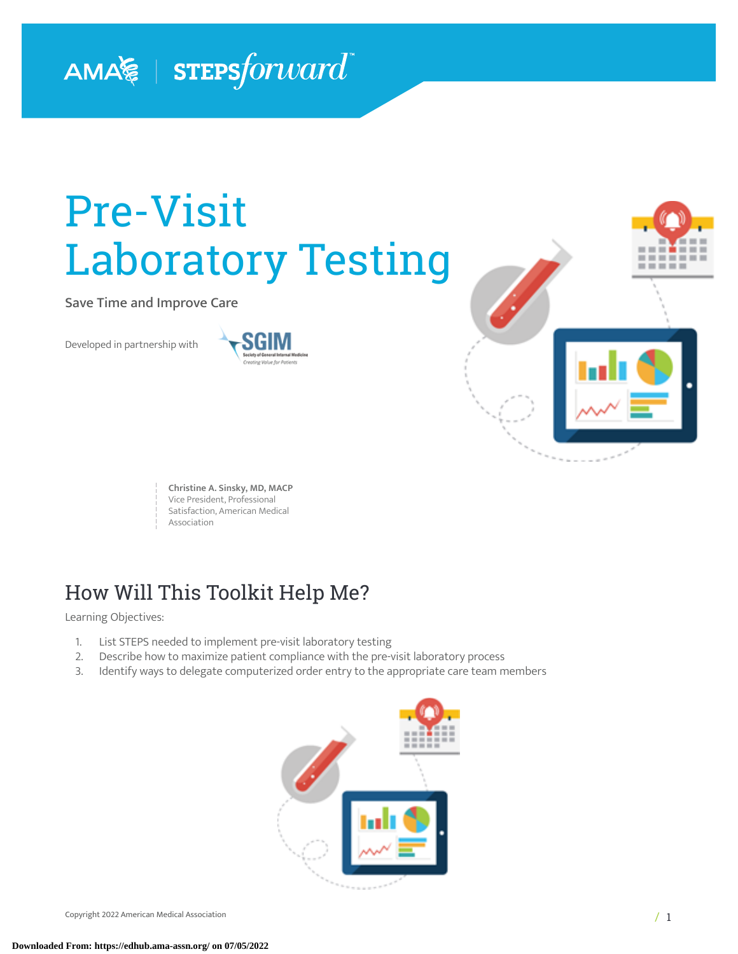# AMA $\lessapprox$  | STEPS forward

# Pre-Visit Laboratory Testing

Save Time and Improve Care

Developed in partnership with





**Christine A. Sinsky, MD, MACP** Vice President, Professional Satisfaction, American Medical Association

### How Will This Toolkit Help Me?

Learning Objectives:

- 1. List STEPS needed to implement pre-visit laboratory testing<br>2. Describe how to maximize patient compliance with the pre-
- Describe how to maximize patient compliance with the pre-visit laboratory process
- 3. Identify ways to delegate computerized order entry to the appropriate care team members

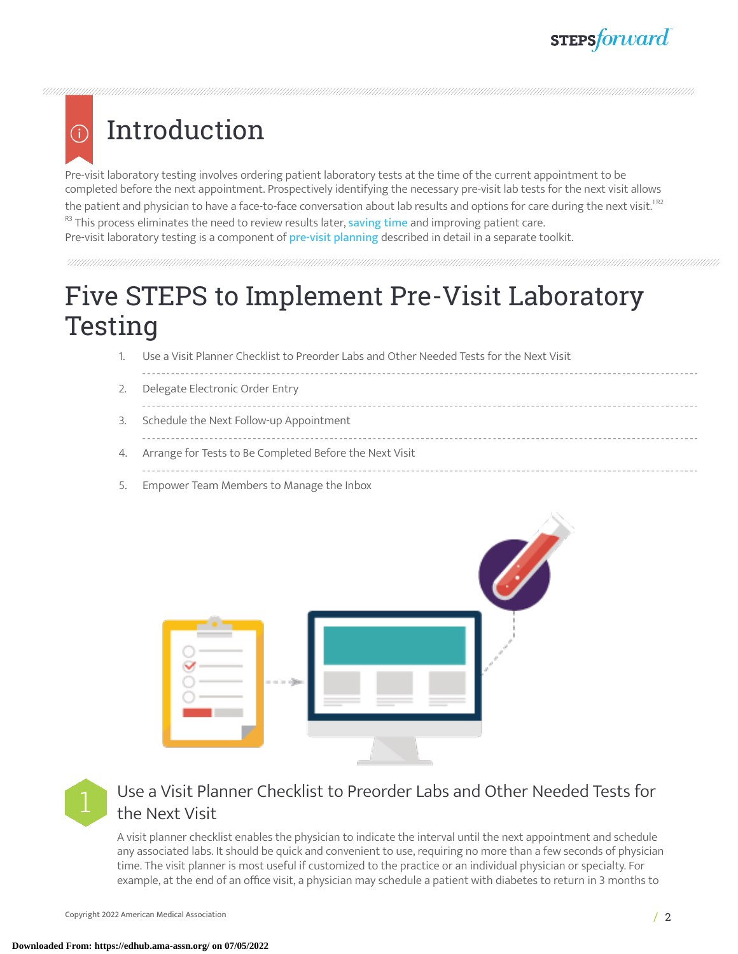### Introduction G)

Pre-visit laboratory testing involves ordering patient laboratory tests at the time of the current appointment to be completed before the next appointment. Prospectively identifying the necessary pre-visit lab tests for the next visit allows the patient and physician to have a face-to-face conversation about lab results and options for care during the next visit. $^{1{\rm R2}}$ R3 This process eliminates the need to review results later, [saving](https://www.ama-assn.org/practice-management/sustainability/ama-steps-forward-saving-time-playbook-physicians) time and improving patient care.

Pre-visit laboratory testing is a component of pre-visit [planning](https://edhub.ama-assn.org/steps-forward/module/2702514) described in detail in a separate toolkit.

# Five STEPS to Implement Pre-Visit Laboratory Testing

- 1. Use a Visit Planner Checklist to Preorder Labs and Other Needed Tests for the Next Visit
- 2. Delegate Electronic Order Entry ----------------------------------3. Schedule the Next Follow-up Appointment
- 4. Arrange for Tests to Be Completed Before the Next Visit
- 
- 5. Empower Team Members to Manage the Inbox





### Use a Visit Planner Checklist to Preorder Labs and Other Needed Tests for the Next Visit

A visit planner checklist enables the physician to indicate the interval until the next appointment and schedule any associated labs. It should be quick and convenient to use, requiring no more than a few seconds of physician time. The visit planner is most useful if customized to the practice or an individual physician or specialty. For example, at the end of an office visit, a physician may schedule a patient with diabetes to return in 3 months to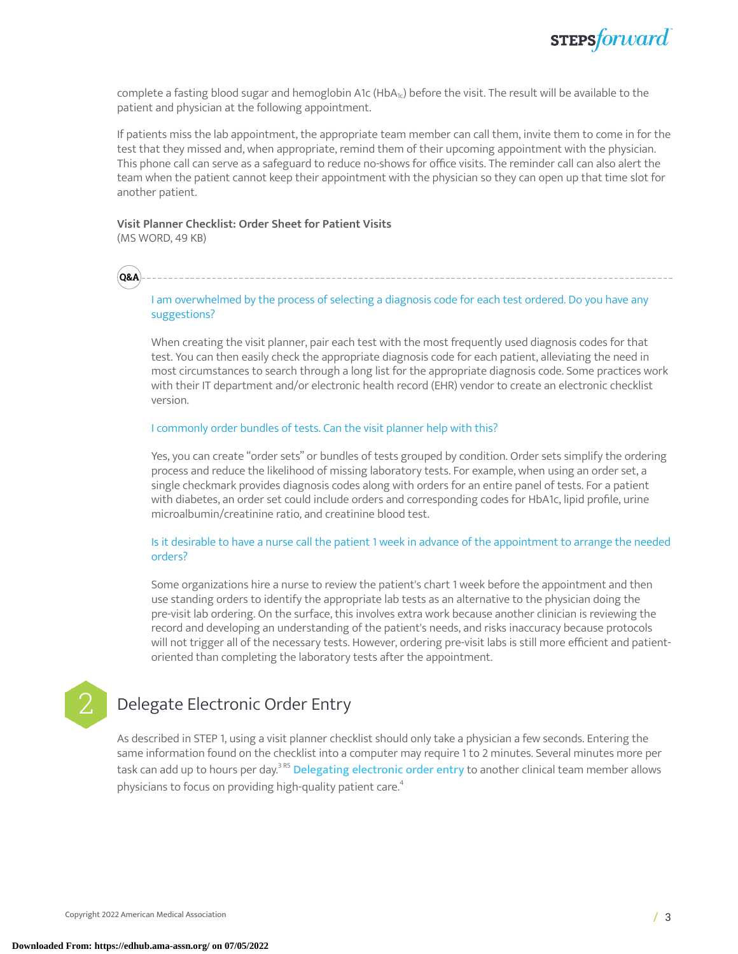complete a fasting blood sugar and hemoglobin A1c (HbA<sub>1c</sub>) before the visit. The result will be available to the patient and physician at the following appointment.

If patients miss the lab appointment, the appropriate team member can call them, invite them to come in for the test that they missed and, when appropriate, remind them of their upcoming appointment with the physician. This phone call can serve as a safeguard to reduce no-shows for office visits. The reminder call can also alert the team when the patient cannot keep their appointment with the physician so they can open up that time slot for another patient.

### **Visit Planner Checklist: Order Sheet for Patient Visits**

(MS WORD, 49 KB)

**Q&A**

I am overwhelmed by the process of selecting a diagnosis code for each test ordered. Do you have any suggestions?

When creating the visit planner, pair each test with the most frequently used diagnosis codes for that test. You can then easily check the appropriate diagnosis code for each patient, alleviating the need in most circumstances to search through a long list for the appropriate diagnosis code. Some practices work with their IT department and/or electronic health record (EHR) vendor to create an electronic checklist version.

### I commonly order bundles of tests. Can the visit planner help with this?

Yes, you can create "order sets" or bundles of tests grouped by condition. Order sets simplify the ordering process and reduce the likelihood of missing laboratory tests. For example, when using an order set, a single checkmark provides diagnosis codes along with orders for an entire panel of tests. For a patient with diabetes, an order set could include orders and corresponding codes for HbA1c, lipid profile, urine microalbumin/creatinine ratio, and creatinine blood test.

### Is it desirable to have a nurse call the patient 1 week in advance of the appointment to arrange the needed orders?

Some organizations hire a nurse to review the patient's chart 1 week before the appointment and then use standing orders to identify the appropriate lab tests as an alternative to the physician doing the pre-visit lab ordering. On the surface, this involves extra work because another clinician is reviewing the record and developing an understanding of the patient's needs, and risks inaccuracy because protocols will not trigger all of the necessary tests. However, ordering pre-visit labs is still more efficient and patientoriented than completing the laboratory tests after the appointment.

### Delegate Electronic Order Entry

As described in STEP 1, using a visit planner checklist should only take a physician a few seconds. Entering the same information found on the checklist into a computer may require 1 to 2 minutes. Several minutes more per task can add up to hours per day.<sup>3 R5</sup> <mark>[Delegating](https://edhub.ama-assn.org/steps-forward/module/2702598) electronic order entry t</mark>o another clinical team member allows physicians to focus on providing high-quality patient care. [4](#page-8-0)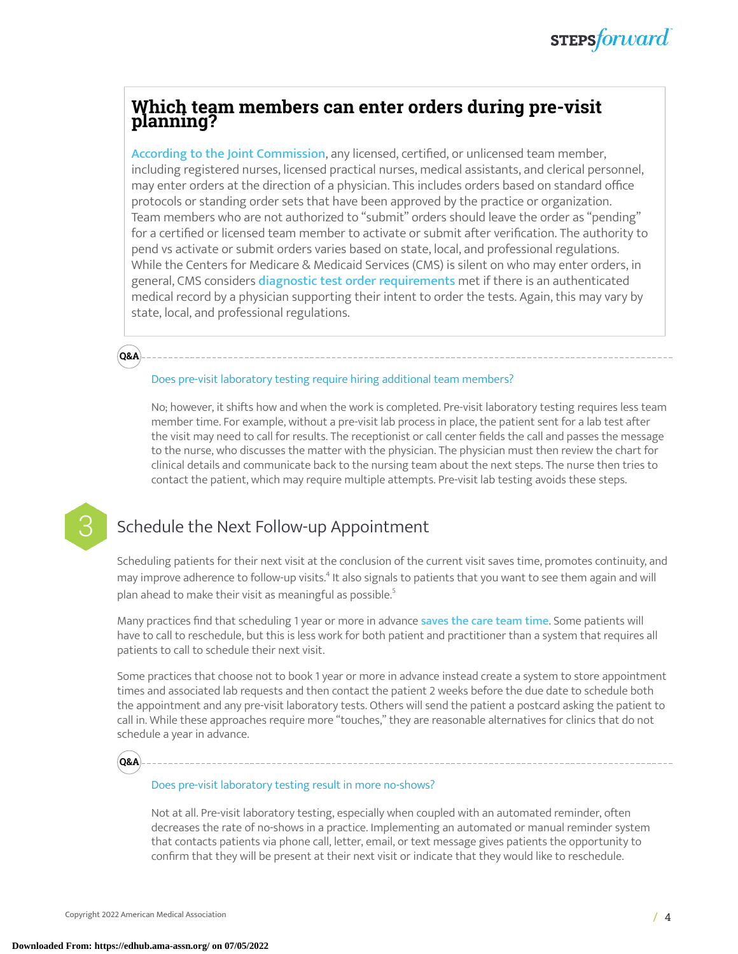### **Which team members can enter orders during pre-visit planning?**

According to the Joint [Commission](https://www.jointcommission.org/standards/standard-faqs/ambulatory/record-of-care-treatment-and-services-rc/000002210/), any licensed, certified, or unlicensed team member, including registered nurses, licensed practical nurses, medical assistants, and clerical personnel, may enter orders at the direction of a physician. This includes orders based on standard office protocols or standing order sets that have been approved by the practice or organization. Team members who are not authorized to "submit" orders should leave the order as "pending" for a certified or licensed team member to activate or submit after verification. The authority to pend vs activate or submit orders varies based on state, local, and professional regulations. While the Centers for Medicare & Medicaid Services (CMS) is silent on who may enter orders, in general, CMS considers diagnostic test order [requirements](https://www.cms.gov/Outreach-and-Education/Medicare-Learning-Network-MLN/MLNProducts/Downloads/LabServices-ICN909221-Text-Only.pdf) met if there is an authenticated medical record by a physician supporting their intent to order the tests. Again, this may vary by state, local, and professional regulations.

#### Does pre-visit laboratory testing require hiring additional team members?

No; however, it shifts how and when the work is completed. Pre-visit laboratory testing requires less team member time. For example, without a pre-visit lab process in place, the patient sent for a lab test after the visit may need to call for results. The receptionist or call center fields the call and passes the message to the nurse, who discusses the matter with the physician. The physician must then review the chart for clinical details and communicate back to the nursing team about the next steps. The nurse then tries to contact the patient, which may require multiple attempts. Pre-visit lab testing avoids these steps.



**Q&A**

### Schedule the Next Follow-up Appointment

Scheduling patients for their next visit at the conclusion of the current visit saves time, promotes continuity, and may improve adherence to follow-up visits.<sup>[4](#page-8-0)</sup> It also signals to patients that you want to see them again and will plan ahead to make their visit as meaningful as possible. [5](#page-8-1)

Many practices find that scheduling 1 year or more in advance [saves](https://www.ama-assn.org/practice-management/sustainability/ama-steps-forward-saving-time-playbook-physicians) the care team time. Some patients will have to call to reschedule, but this is less work for both patient and practitioner than a system that requires all patients to call to schedule their next visit.

Some practices that choose not to book 1 year or more in advance instead create a system to store appointment times and associated lab requests and then contact the patient 2 weeks before the due date to schedule both the appointment and any pre-visit laboratory tests. Others will send the patient a postcard asking the patient to call in. While these approaches require more "touches," they are reasonable alternatives for clinics that do not schedule a year in advance.



#### Does pre-visit laboratory testing result in more no-shows?

Not at all. Pre-visit laboratory testing, especially when coupled with an automated reminder, often decreases the rate of no-shows in a practice. Implementing an automated or manual reminder system that contacts patients via phone call, letter, email, or text message gives patients the opportunity to confirm that they will be present at their next visit or indicate that they would like to reschedule.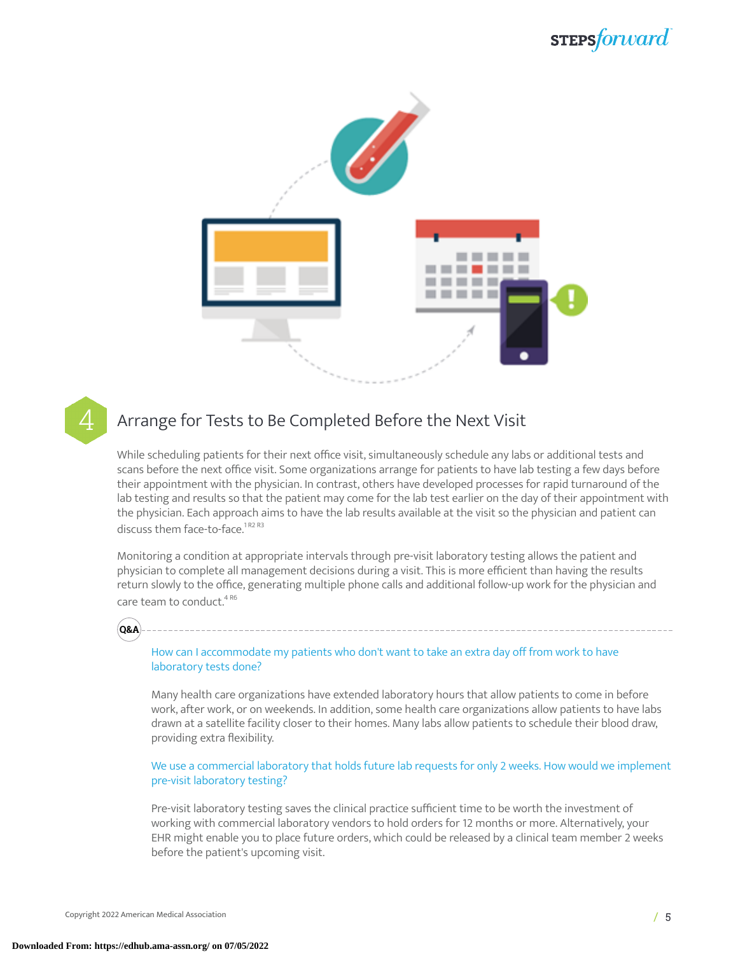### stepsforward



### 4 Arrange for Tests to Be Completed Before the Next Visit

While scheduling patients for their next office visit, simultaneously schedule any labs or additional tests and scans before the next office visit. Some organizations arrange for patients to have lab testing a few days before their appointment with the physician. In contrast, others have developed processes for rapid turnaround of the lab testing and results so that the patient may come for the lab test earlier on the day of their appointment with the physician. Each approach aims to have the lab results available at the visit so the physician and patient can discuss them face-to-face.<sup>1R2 R3</sup>

Monitoring a condition at appropriate intervals through pre-visit laboratory testing allows the patient and physician to complete all management decisions during a visit. This is more efficient than having the results return slowly to the office, generating multiple phone calls and additional follow-up work for the physician and care team to conduct.<sup>4 R6</sup>



How can I accommodate my patients who don't want to take an extra day off from work to have laboratory tests done?

Many health care organizations have extended laboratory hours that allow patients to come in before work, after work, or on weekends. In addition, some health care organizations allow patients to have labs drawn at a satellite facility closer to their homes. Many labs allow patients to schedule their blood draw, providing extra flexibility.

We use a commercial laboratory that holds future lab requests for only 2 weeks. How would we implement pre-visit laboratory testing?

Pre-visit laboratory testing saves the clinical practice sufficient time to be worth the investment of working with commercial laboratory vendors to hold orders for 12 months or more. Alternatively, your EHR might enable you to place future orders, which could be released by a clinical team member 2 weeks before the patient's upcoming visit.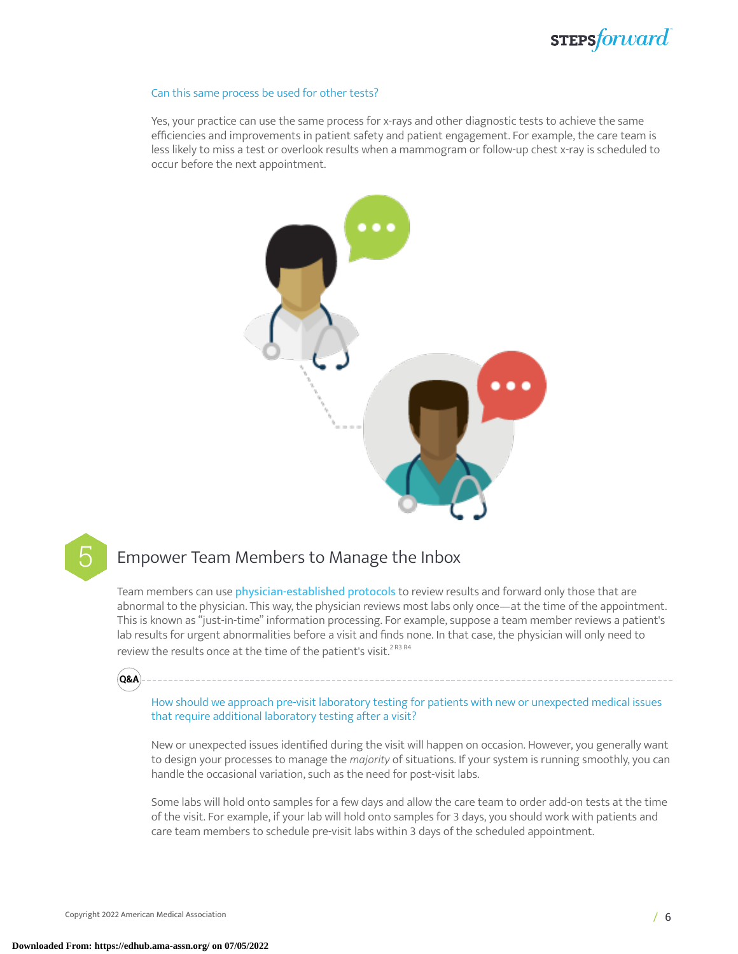### sTEPSforward

#### Can this same process be used for other tests?

Yes, your practice can use the same process for x-rays and other diagnostic tests to achieve the same efficiencies and improvements in patient safety and patient engagement. For example, the care team is less likely to miss a test or overlook results when a mammogram or follow-up chest x-ray is scheduled to occur before the next appointment.





### 5 Empower Team Members to Manage the Inbox

Team members can use [physician-established](https://edhub.ama-assn.org/steps-forward/module/2702694) protocols to review results and forward only those that are abnormal to the physician. This way, the physician reviews most labs only once—at the time of the appointment. This is known as "just-in-time" information processing. For example, suppose a team member reviews a patient's lab results for urgent abnormalities before a visit and finds none. In that case, the physician will only need to review the results once at the time of the patient's visit. $^{2\, {\rm R3}\, {\rm R4}}$ 



How should we approach pre-visit laboratory testing for patients with new or unexpected medical issues that require additional laboratory testing after a visit?

New or unexpected issues identified during the visit will happen on occasion. However, you generally want to design your processes to manage the *majority* of situations. If your system is running smoothly, you can handle the occasional variation, such as the need for post-visit labs.

Some labs will hold onto samples for a few days and allow the care team to order add-on tests at the time of the visit. For example, if your lab will hold onto samples for 3 days, you should work with patients and care team members to schedule pre-visit labs within 3 days of the scheduled appointment.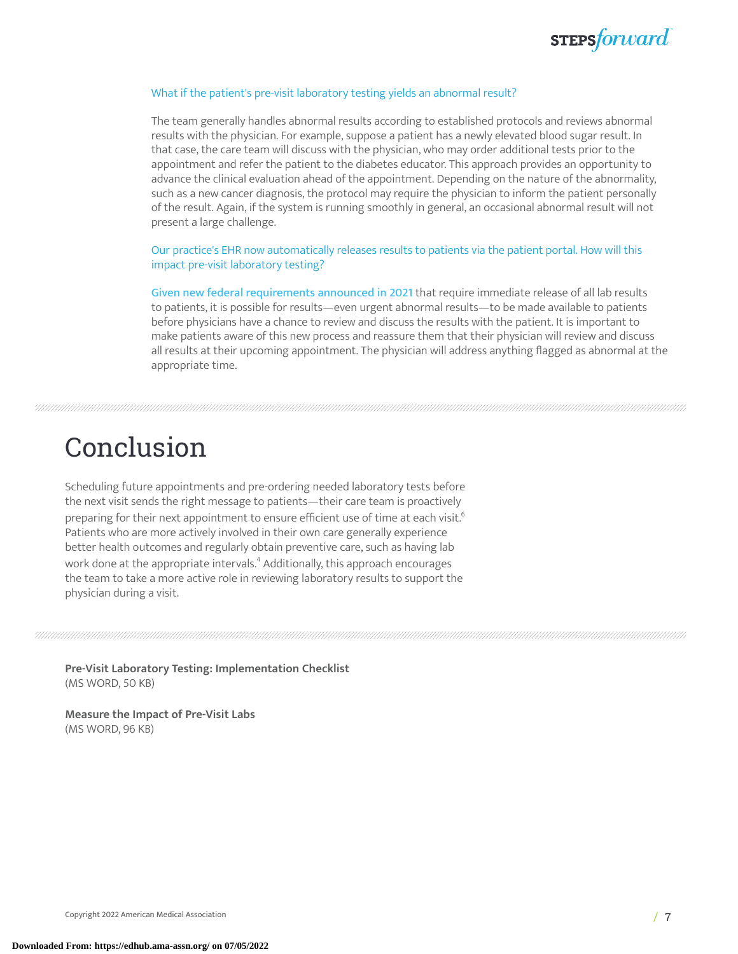

#### What if the patient's pre-visit laboratory testing yields an abnormal result?

The team generally handles abnormal results according to established protocols and reviews abnormal results with the physician. For example, suppose a patient has a newly elevated blood sugar result. In that case, the care team will discuss with the physician, who may order additional tests prior to the appointment and refer the patient to the diabetes educator. This approach provides an opportunity to advance the clinical evaluation ahead of the appointment. Depending on the nature of the abnormality, such as a new cancer diagnosis, the protocol may require the physician to inform the patient personally of the result. Again, if the system is running smoothly in general, an occasional abnormal result will not present a large challenge.

Our practice's EHR now automatically releases results to patients via the patient portal. How will this impact pre-visit laboratory testing?

Given new federal [requirements](https://edhub.ama-assn.org/steps-forward/module/2781026) announced in 2021 that require immediate release of all lab results to patients, it is possible for results—even urgent abnormal results—to be made available to patients before physicians have a chance to review and discuss the results with the patient. It is important to make patients aware of this new process and reassure them that their physician will review and discuss all results at their upcoming appointment. The physician will address anything flagged as abnormal at the appropriate time.

### Conclusion

Scheduling future appointments and pre-ordering needed laboratory tests before the next visit sends the right message to patients—their care team is proactively preparing for their next appointment to ensure efficient use of time at each visit. $^{\mathrm{6}}$  $^{\mathrm{6}}$  $^{\mathrm{6}}$ Patients who are more actively involved in their own care generally experience better health outcomes and regularly obtain preventive care, such as having lab work done at the appropriate intervals.<sup>[4](#page-8-0)</sup> Additionally, this approach encourages the team to take a more active role in reviewing laboratory results to support the physician during a visit.

**Pre-Visit Laboratory Testing: Implementation Checklist** (MS WORD, 50 KB)

**Measure the Impact of Pre-Visit Labs** (MS WORD, 96 KB)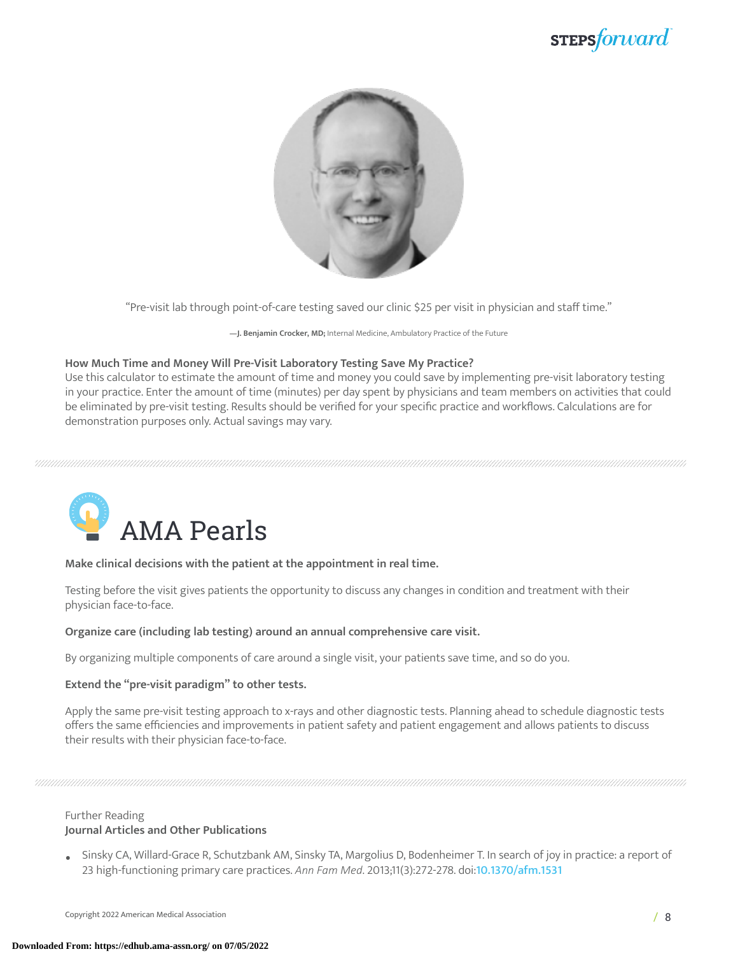### stepsforward



"Pre-visit lab through point-of-care testing saved our clinic \$25 per visit in physician and staff time."

**—J. Benjamin Crocker, MD;** Internal Medicine, Ambulatory Practice of the Future

### **How Much Time and Money Will Pre-Visit Laboratory Testing Save My Practice?**

Use this calculator to estimate the amount of time and money you could save by implementing pre-visit laboratory testing in your practice. Enter the amount of time (minutes) per day spent by physicians and team members on activities that could be eliminated by pre-visit testing. Results should be verified for your specific practice and workflows. Calculations are for demonstration purposes only. Actual savings may vary.



### **Make clinical decisions with the patient at the appointment in real time.**

Testing before the visit gives patients the opportunity to discuss any changes in condition and treatment with their physician face-to-face.

### **Organize care (including lab testing) around an annual comprehensive care visit.**

By organizing multiple components of care around a single visit, your patients save time, and so do you.

### **Extend the "pre-visit paradigm" to other tests.**

Apply the same pre-visit testing approach to x-rays and other diagnostic tests. Planning ahead to schedule diagnostic tests offers the same efficiencies and improvements in patient safety and patient engagement and allows patients to discuss their results with their physician face-to-face.

### Further Reading **Journal Articles and Other Publications**

• Sinsky CA, Willard-Grace R, Schutzbank AM, Sinsky TA, Margolius D, Bodenheimer T. In search of joy in practice: a report of 23 high-functioning primary care practices. *Ann Fam Med*. 2013;11(3):272-278. doi:[10.1370/afm.1531](http://www.annfammed.org/cgi/pmidlookup?view=long&pmid=23690328)

Copyright 2022 American Medical Association / 8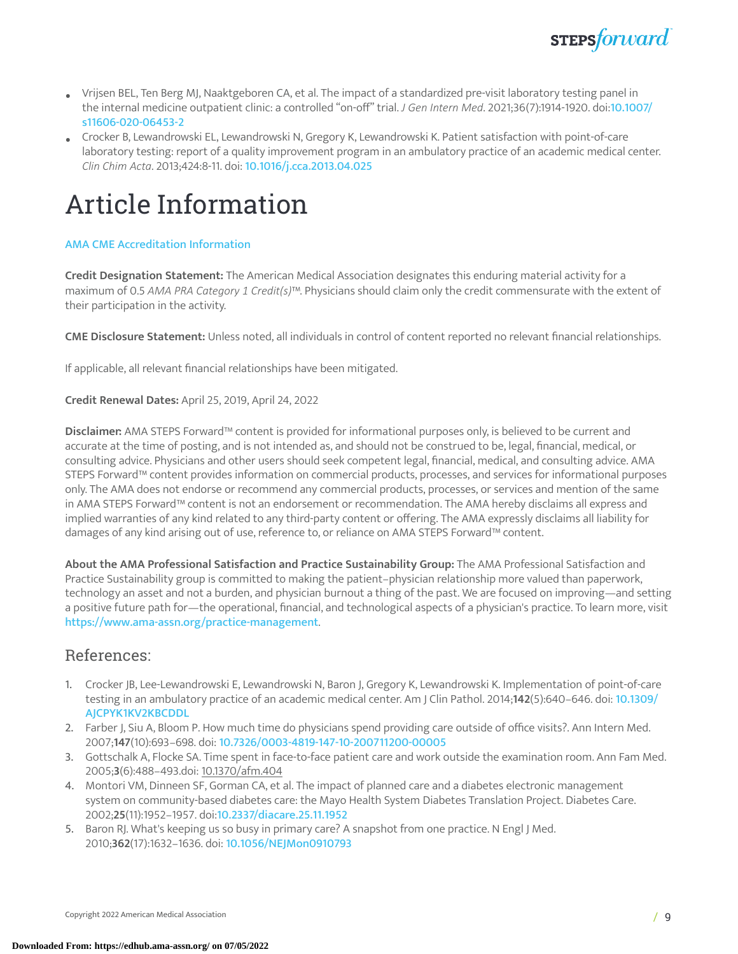

- Vrijsen BEL, Ten Berg MJ, Naaktgeboren CA, et al. The impact of a standardized pre-visit laboratory testing panel in the internal medicine outpatient clinic: a controlled "on-off" trial. *J Gen Intern Med*. 2021;36(7):1914-1920. doi:[10.1007/](https://dx.doi.org/10.1007/s11606-020-06453-2) [s11606-020-06453-2](https://dx.doi.org/10.1007/s11606-020-06453-2)
- Crocker B, Lewandrowski EL, Lewandrowski N, Gregory K, Lewandrowski K. Patient satisfaction with point-of-care laboratory testing: report of a quality improvement program in an ambulatory practice of an academic medical center. *Clin Chim Acta*. 2013;424:8-11. doi: [10.1016/j.cca.2013.04.025](http://dx.doi.org/10.1016/j.cca.2013.04.025)

## Article Information

### AMA CME [Accreditation](https://edhub.ama-assn.org/pages/ama-cme) Information

**Credit Designation Statement:** The American Medical Association designates this enduring material activity for a maximum of 0.5 *AMA PRA Category 1 Credit(s)*™. Physicians should claim only the credit commensurate with the extent of their participation in the activity.

**CME Disclosure Statement:** Unless noted, all individuals in control of content reported no relevant financial relationships.

If applicable, all relevant financial relationships have been mitigated.

**Credit Renewal Dates:** April 25, 2019, April 24, 2022

**Disclaimer:** AMA STEPS Forward™ content is provided for informational purposes only, is believed to be current and accurate at the time of posting, and is not intended as, and should not be construed to be, legal, financial, medical, or consulting advice. Physicians and other users should seek competent legal, financial, medical, and consulting advice. AMA STEPS Forward™ content provides information on commercial products, processes, and services for informational purposes only. The AMA does not endorse or recommend any commercial products, processes, or services and mention of the same in AMA STEPS Forward™ content is not an endorsement or recommendation. The AMA hereby disclaims all express and implied warranties of any kind related to any third-party content or offering. The AMA expressly disclaims all liability for damages of any kind arising out of use, reference to, or reliance on AMA STEPS Forward™ content.

**About the AMA Professional Satisfaction and Practice Sustainability Group:** The AMA Professional Satisfaction and Practice Sustainability group is committed to making the patient–physician relationship more valued than paperwork, technology an asset and not a burden, and physician burnout a thing of the past. We are focused on improving—and setting a positive future path for—the operational, financial, and technological aspects of a physician's practice. To learn more, visit <https://www.ama-assn.org/practice-management>.

### References:

- 1. Crocker JB, Lee-Lewandrowski E, Lewandrowski N, Baron J, Gregory K, Lewandrowski K. Implementation of point-of-care testing in an ambulatory practice of an academic medical center. Am J Clin Pathol. 2014;**142**(5):640–646. doi: [10.1309/](10.1309/AJCPYK1KV2KBCDDL) [AJCPYK1KV2KBCDDL](10.1309/AJCPYK1KV2KBCDDL)
- 2. Farber J, Siu A, Bloom P. How much time do physicians spend providing care outside of office visits?. Ann Intern Med. 2007;**147**(10):693–698. doi: <10.7326/0003-4819-147-10-200711200-00005>
- 3. Gottschalk A, Flocke SA. Time spent in face-to-face patient care and work outside the examination room. Ann Fam Med. 2005;**3**(6):488–493.doi: 10.1370/afm.404
- <span id="page-8-0"></span>4. Montori VM, Dinneen SF, Gorman CA, et al. The impact of planned care and a diabetes electronic management system on community-based diabetes care: the Mayo Health System Diabetes Translation Project. Diabetes Care. 2002;**25**(11):1952–1957. doi:[10.2337/diacare.25.11.1952](10.2337/diacare.25.11.1952%20)
- <span id="page-8-1"></span>5. Baron RJ. What's keeping us so busy in primary care? A snapshot from one practice. N Engl J Med. 2010;**362**(17):1632–1636. doi: <10.1056/NEJMon0910793>